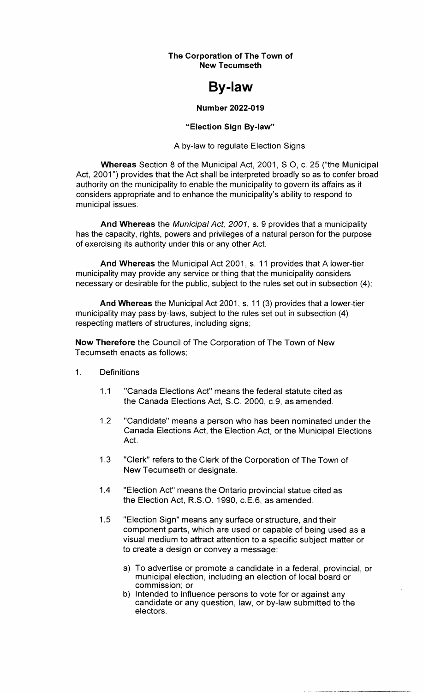**The Corporation of The Town of New Tecumseth** 

# **By-law**

#### **Number 2022-019**

#### **"Election Sign By-law"**

A by-law to regulate Election Signs

**Whereas** Section 8 of the Municipal Act, 2001, S.O, c. 25 ("the Municipal Act, 2001") provides that the Act shall be interpreted broadly so as to confer broad authority on the municipality to enable the municipality to govern its affairs as it considers appropriate and to enhance the municipality's ability to respond to municipal issues.

**And Whereas** the Municipal Act, 2001, s. 9 provides that a municipality has the capacity, rights, powers and privileges of a natural person for the purpose of exercising its authority under this or any other Act.

**And Whereas** the Municipal Act 2001, s. 11 provides that A lower-tier municipality may provide any service or thing that the municipality considers necessary or desirable for the public, subject to the rules set out in subsection (4);

**And Whereas** the Municipal Act 2001, s. 11 (3) provides that a lower-tier municipality may pass by-laws, subject to the rules set out in subsection (4) respecting matters of structures, including signs;

**Now Therefore** the Council of The Corporation of The Town of New Tecumseth enacts as follows:

- 1. Definitions
	- 1.1 "Canada Elections Act" means the federal statute cited as the Canada Elections Act, S.C. 2000, c.9, as amended.
	- 1.2 "Candidate" means a person who has been nominated under the Canada Elections Act, the Election Act, or the Municipal Elections Act.
	- 1.3 "Clerk" refers to the Clerk of the Corporation of The Town of New Tecumseth or designate.
	- 1.4 "Election Act" means the Ontario provincial statue cited as the Election Act, R.S.O. 1990, c.E.6, as amended.
	- 1.5 "Election Sign" means any surface or structure, and their component parts, which are used or capable of being used as a visual medium to attract attention to a specific subject matter or to create a design or convey a message:
		- a) To advertise or promote a candidate in a federal, provincial, or municipal election, including an election of local board or commission; or
		- b) Intended to influence persons to vote for or against any candidate or any question, law, or by-law submitted to the electors.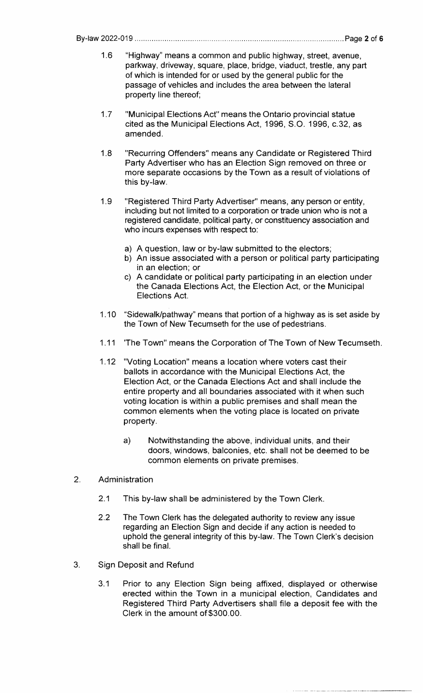By-law 2022-019 .................................................................................................. Page 2 of 6

- 1.6 "Highway" means a common and public highway, street, avenue, parkway, driveway, square, place, bridge, viaduct, trestle, any part of which is intended for or used by the general public for the passage of vehicles and includes the area between the lateral property line thereof;
- 1.7 "Municipal Elections Act" means the Ontario provincial statue cited as the Municipal Elections Act, 1996, S.O. 1996, c.32, as amended.
- 1.8 "Recurring Offenders" means any Candidate or Registered Third Party Advertiser who has an Election Sign removed on three or more separate occasions by the Town as a result of violations of this by-law.
- 1.9 "Registered Third Party Advertiser" means, any person or entity, including but not limited to a corporation or trade union who is not a registered candidate, political party, or constituency association and who incurs expenses with respect to:
	- a) A question, law or by-law submitted to the electors;
	- b) An issue associated with a person or political party participating in an election; or
	- c) A candidate or political party participating in an election under the Canada Elections Act, the Election Act, or the Municipal Elections Act.
- 1.10 "Sidewalk/pathway" means that portion of a highway as is set aside by the Town of New Tecumseth for the use of pedestrians.
- 1.11 'The Town" means the Corporation of The Town of New Tecumseth.
- 1.12 "Voting Location" means a location where voters cast their ballots in accordance with the Municipal Elections Act, the Election Act, or the Canada Elections Act and shall include the entire property and all boundaries associated with it when such voting location is within a public premises and shall mean the common elements when the voting place is located on private property.
	- a} Notwithstanding the above, individual units, and their doors, windows, balconies, etc. shall not be deemed to be common elements on private premises.
- 2. Administration
	- 2.1 This by-law shall be administered by the Town Clerk.
	- 2.2 The Town Clerk has the delegated authority to review any issue regarding an Election Sign and decide if any action is needed to uphold the general integrity of this by-law. The Town Clerk's decision shall be final.
- 3. Sign Deposit and Refund
	- 3.1 Prior to any Election Sign being affixed, displayed or otherwise erected within the Town in a municipal election, Candidates and Registered Third Party Advertisers shall file a deposit fee with the Clerk in the amount of \$300.00.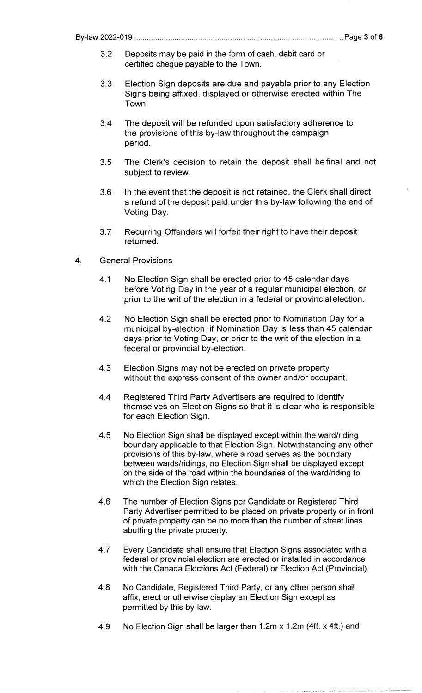- 3.2 Deposits may be paid in the form of cash, debit card or certified cheque payable to the Town.
- 3.3 Election Sign deposits are due and payable prior to any Election Signs being affixed, displayed or otherwise erected within The Town.
- 3.4 The deposit will be refunded upon satisfactory adherence to the provisions of this by-law throughout the campaign period.
- 3.5 The Clerk's decision to retain the deposit shall be final and not subject to review.
- 3.6 In the event that the deposit is not retained, the Clerk shall direct a refund of the deposit paid under this by-law following the end of Voting Day.
- 3.7 Recurring Offenders will forfeit their right to have their deposit returned.
- 4. General Provisions
	- 4.1 No Election Sign shall be erected prior to 45 calendar days before Voting Day in the year of a regular municipal election, or prior to the writ of the election in a federal or provincial election.
	- 4.2 No Election Sign shall be erected prior to Nomination Day for a municipal by-election, if Nomination Day is less than 45 calendar days prior to Voting Day, or prior to the **writ** of the election in a federal or provincial by-election.
	- 4.3 Election Signs may not be erected on private property without the express consent of the owner and/or occupant.
	- 4.4 Registered Third Party Advertisers are required to identify themselves on Election Signs so that it is clear who is responsible for each Election Sign.
	- 4.5 No Election Sign shall be displayed except within the ward/riding boundary applicable to that Election Sign. Notwithstanding any other provisions of this by-law, where a road serves as the boundary between wards/ridings, no Election Sign shall be displayed except on the side of the road within the boundaries of the ward/riding to which the Election Sign relates.
	- 4.6 The number of Election Signs per Candidate or Registered Third Party Advertiser permitted to be placed on private property or in front of private property can be no more than the number of street lines abutting the private property.
	- 4.7 Every Candidate shall ensure that Election Signs associated with a federal or provincial election are erected or installed in accordance with the Canada Elections Act (Federal) or Election Act {Provincial).
	- 4.8 No Candidate, Registered Third Party, or any other person shall affix, erect or otherwise display an Election Sign except as permitted by this by-law.
	- 4.9 No Election Sign shall be larger than 1.2m x 1.2m {4ft. x 4ft.} and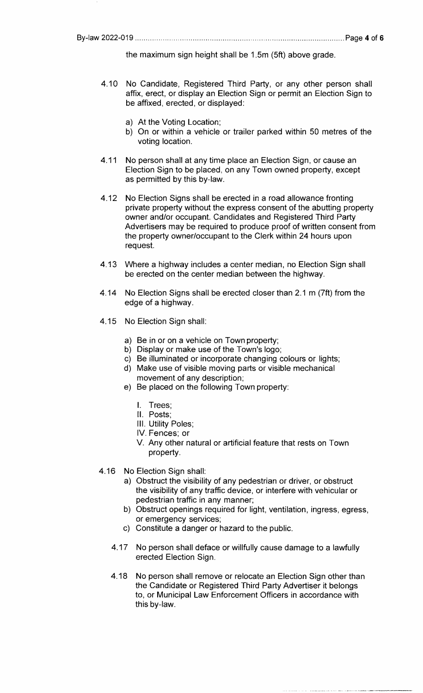the maximum sign height shall be 1.5m (5ft) above grade.

- 4.10 No Candidate, Registered Third Party, or any other person shall affix, erect, or display an Election Sign or permit an Election Sign to be affixed, erected, or displayed:
	- a) At the Voting Location;
	- b) On or within a vehicle or trailer parked within 50 metres of the voting location.
- 4.11 No person shall at any time place an Election Sign, or cause an Election Sign to be placed, on any Town owned property, except as permitted by this by-law.
- 4.12 No Election Signs shall be erected in a road allowance fronting private property without the express consent of the abutting property owner and/or occupant. Candidates and Registered Third Party Advertisers may be required to produce proof of written consent from the property owner/occupant to the Clerk within 24 hours upon request.
- 4.13 Where a highway includes a center median, no Election Sign shall be erected on the center median between the highway.
- 4.14 No Election Signs shall be erected closer than 2.1 m (7ft) from the edge of a highway.
- 4.15 No Election Sign shall:
	- a) Be in or on a vehicle on Town property;
	- b) Display or make use of the Town's logo;
	- c) Be illuminated or incorporate changing colours or lights;
	- d) Make use of visible moving parts or visible mechanical movement of any description;
	- e) Be placed on the following Town property:
		- I. Trees;
		- II. Posts;
		- 111. Utility Poles;
		- IV. Fences; or
		- V. Any other natural or artificial feature that rests on Town property.
- 4.16 No Election Sign shall:
	- a) Obstruct the visibility of any pedestrian or driver, or obstruct the visibility of any traffic device, or interfere with vehicular or pedestrian traffic in any manner;
	- b) Obstruct openings required for light, ventilation, ingress, egress, or emergency services;
	- c) Constitute a danger or hazard to the public.
	- 4.17 No person shall deface or willfully cause damage to a lawfully erected Election Sign.
	- 4.18 No person shall remove or relocate an Election Sign other than the Candidate or Registered Third Party Advertiser it belongs to, or Municipal Law Enforcement Officers in accordance with this by-law.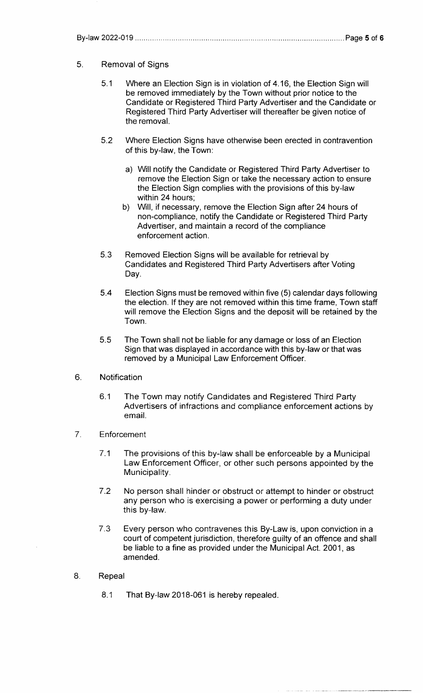## 5. Removal of Signs

- 5.1 Where an Election Sign is in violation of 4.16, the Election Sign will be removed immediately by the Town without prior notice to the Candidate or Registered Third Party Advertiser and the Candidate or Registered Third Party Advertiser will thereafter be given notice of the removal.
- 5.2 Where Election Signs have otherwise been erected in contravention of this by-law, the Town:
	- a) Will notify the Candidate or Registered Third Party Advertiser to remove the Election Sign or take the necessary action to ensure the Election Sign complies with the provisions of this by-law within 24 hours;
	- b) Will, if necessary, remove the Election Sign after 24 hours of non-compliance, notify the Candidate or Registered Third Party Advertiser, and maintain a record of the compliance enforcement action.
- 5.3 Removed Election Signs will be available for retrieval by Candidates and Registered Third Party Advertisers after Voting Day.
- 5.4 Election Signs must be removed within five (5) calendar days following the election. If they are not removed within this time frame, Town staff will remove the Election Signs and the deposit will be retained by the Town.
- 5.5 The Town shall not be liable for any damage or loss of an Election Sign that was displayed in accordance with this by-law or that was removed by a Municipal Law Enforcement Officer.
- 6. Notification
	- 6.1 The Town may notify Candidates and Registered Third Party Advertisers of infractions and compliance enforcement actions by email.
- 7. Enforcement
	- 7 .1 The provisions of this by-law shall be enforceable by a Municipal Law Enforcement Officer, or other such persons appointed by the Municipality.
	- 7.2 No person shall hinder or obstruct or attempt to hinder or obstruct any person who is exercising a power or performing a duty under this by-law.
	- 7.3 Every person who contravenes this By-Law is, upon conviction in a court of competent jurisdiction, therefore guilty of an offence and shall be liable to a fine as provided under the Municipal Act. 2001, as amended.
- 8. Repeal
	- 8.1 That By-law 2018-061 is hereby repealed.